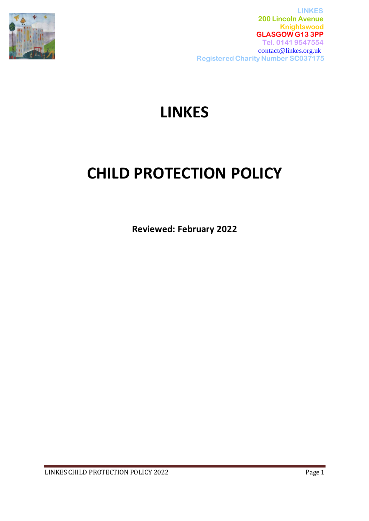

# **LINKES**

# **CHILD PROTECTION POLICY**

**Reviewed: February 2022**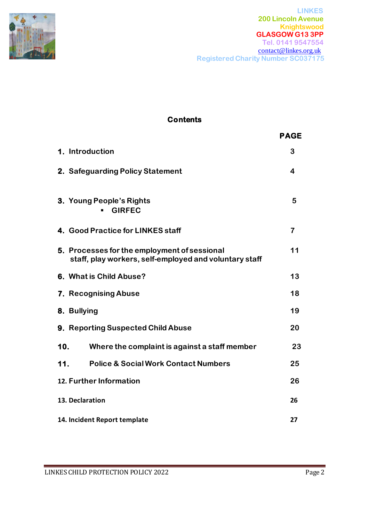

## **Contents**

|                                                                                                        | <b>PAGE</b>             |  |
|--------------------------------------------------------------------------------------------------------|-------------------------|--|
| 1. Introduction                                                                                        | 3                       |  |
| 2. Safeguarding Policy Statement                                                                       | 4                       |  |
| 3. Young People's Rights<br><b>GIRFEC</b>                                                              | 5                       |  |
| 4. Good Practice for LINKES staff                                                                      | $\overline{\mathbf{7}}$ |  |
| 5. Processes for the employment of sessional<br>staff, play workers, self-employed and voluntary staff | 11                      |  |
| 6. What is Child Abuse?                                                                                | 13                      |  |
| 7. Recognising Abuse                                                                                   | 18                      |  |
| 8. Bullying                                                                                            | 19                      |  |
| 9. Reporting Suspected Child Abuse                                                                     | 20                      |  |
| 10.<br>Where the complaint is against a staff member                                                   | 23                      |  |
| <b>Police &amp; Social Work Contact Numbers</b><br>11.                                                 | 25                      |  |
| 12. Further Information                                                                                | 26                      |  |
| 13. Declaration                                                                                        | 26                      |  |
| 14. Incident Report template                                                                           |                         |  |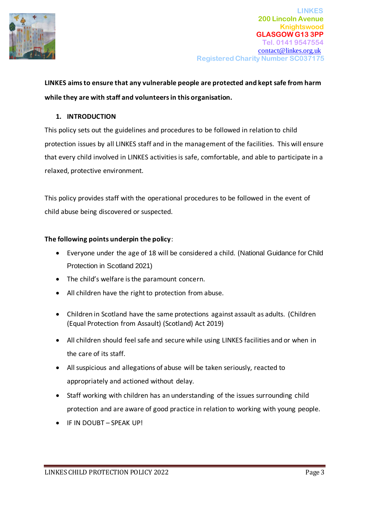

**LINKES aims to ensure that any vulnerable people are protected and kept safe from harm while they are with staff and volunteers in this organisation.** 

## **1. INTRODUCTION**

This policy sets out the guidelines and procedures to be followed in relation to child protection issues by all LINKES staff and in the management of the facilities. This will ensure that every child involved in LINKES activities is safe, comfortable, and able to participate in a relaxed, protective environment.

This policy provides staff with the operational procedures to be followed in the event of child abuse being discovered or suspected.

## **The following points underpin the policy**:

- Everyone under the age of 18 will be considered a child. (National Guidance for Child Protection in Scotland 2021)
- The child's welfare is the paramount concern.
- All children have the right to protection from abuse.
- Children in Scotland have the same protections against assault as adults. (Children (Equal Protection from Assault) (Scotland) Act 2019)
- All children should feel safe and secure while using LINKES facilities and or when in the care of its staff.
- All suspicious and allegations of abuse will be taken seriously, reacted to appropriately and actioned without delay.
- Staff working with children has an understanding of the issues surrounding child protection and are aware of good practice in relation to working with young people.
- IF IN DOUBT SPEAK UP!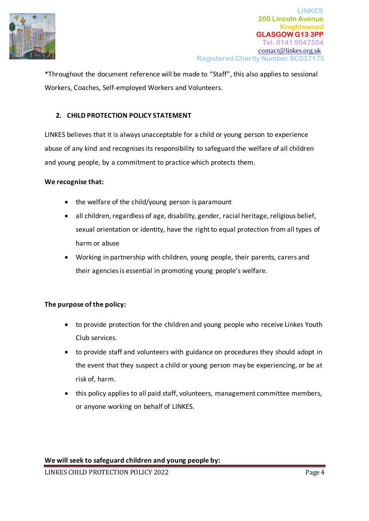

\*Throughout the document reference will be made to "Staff", this also applies to sessional Workers, Coaches, Self-employed Workers and Volunteers.

## **2. CHILD PROTECTION POLICY STATEMENT**

LINKES believes that it is always unacceptable for a child or young person to experience abuse of any kind and recognises its responsibility to safeguard the welfare of all children and young people, by a commitment to practice which protects them.

#### **We recognise that:**

- the welfare of the child/young person is paramount
- all children, regardless of age, disability, gender, racial heritage, religious belief, sexual orientation or identity, have the right to equal protection from all types of harm or abuse
- Working in partnership with children, young people, their parents, carers and their agencies is essential in promoting young people's welfare.

#### **The purpose of the policy:**

- to provide protection for the children and young people who receive Linkes Youth Club services.
- to provide staff and volunteers with guidance on procedures they should adopt in the event that they suspect a child or young person may be experiencing, or be at risk of, harm.
- this policy applies to all paid staff, volunteers, management committee members, or anyone working on behalf of LINKES.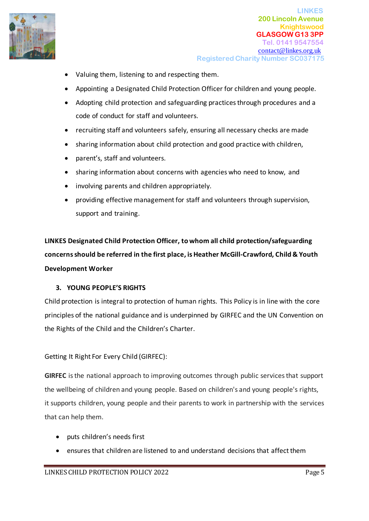

- Valuing them, listening to and respecting them.
- Appointing a Designated Child Protection Officer for children and young people.
- Adopting child protection and safeguarding practices through procedures and a code of conduct for staff and volunteers.
- recruiting staff and volunteers safely, ensuring all necessary checks are made
- sharing information about child protection and good practice with children,
- parent's, staff and volunteers.
- sharing information about concerns with agencies who need to know, and
- involving parents and children appropriately.
- providing effective management for staff and volunteers through supervision, support and training.

**LINKES Designated Child Protection Officer, to whom all child protection/safeguarding concerns should be referred in the first place, is Heather McGill-Crawford, Child & Youth Development Worker** 

## **3. YOUNG PEOPLE'S RIGHTS**

Child protection is integral to protection of human rights. This Policy is in line with the core principles of the national guidance and is underpinned by GIRFEC and the UN Convention on the Rights of the Child and the Children's Charter.

Getting It Right For Every Child (GIRFEC):

**GIRFEC** is the national approach to improving outcomes through public services that support the wellbeing of children and young people. Based on children's and young people's rights, it supports children, young people and their parents to work in partnership with the services that can help them.

- puts children's needs first
- ensures that children are listened to and understand decisions that affect them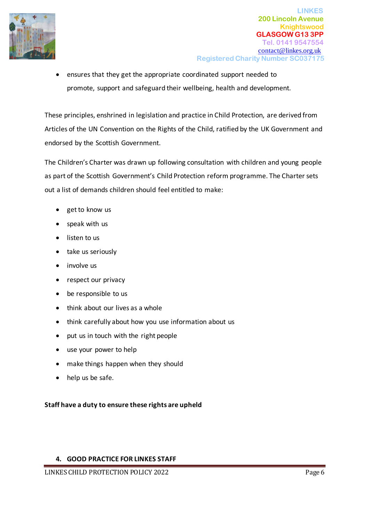

• ensures that they get the appropriate coordinated support needed to promote, support and safeguard their wellbeing, health and development.

These principles, enshrined in legislation and practice in Child Protection, are derived from Articles of the UN Convention on the Rights of the Child, ratified by the UK Government and endorsed by the Scottish Government.

The Children's Charter was drawn up following consultation with children and young people as part of the Scottish Government's Child Protection reform programme. The Charter sets out a list of demands children should feel entitled to make:

- get to know us
- speak with us
- listen to us
- take us seriously
- involve us
- respect our privacy
- be responsible to us
- think about our lives as a whole
- think carefully about how you use information about us
- put us in touch with the right people
- use your power to help
- make things happen when they should
- help us be safe.

**Staff have a duty to ensure these rights are upheld**

## **4. GOOD PRACTICE FOR LINKES STAFF**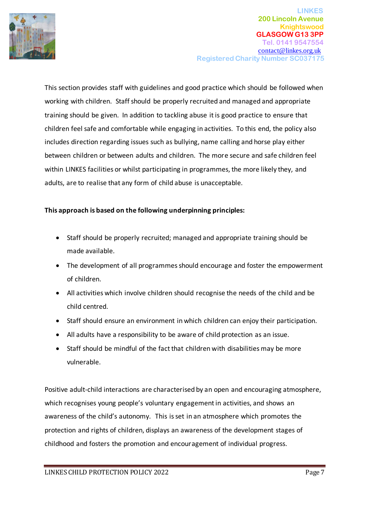

This section provides staff with guidelines and good practice which should be followed when working with children. Staff should be properly recruited and managed and appropriate training should be given. In addition to tackling abuse it is good practice to ensure that children feel safe and comfortable while engaging in activities. To this end, the policy also includes direction regarding issues such as bullying, name calling and horse play either between children or between adults and children. The more secure and safe children feel within LINKES facilities or whilst participating in programmes, the more likely they, and adults, are to realise that any form of child abuse is unacceptable.

## **This approach is based on the following underpinning principles:**

- Staff should be properly recruited; managed and appropriate training should be made available.
- The development of all programmes should encourage and foster the empowerment of children.
- All activities which involve children should recognise the needs of the child and be child centred.
- Staff should ensure an environment in which children can enjoy their participation.
- All adults have a responsibility to be aware of child protection as an issue.
- Staff should be mindful of the fact that children with disabilities may be more vulnerable.

Positive adult-child interactions are characterised by an open and encouraging atmosphere, which recognises young people's voluntary engagement in activities, and shows an awareness of the child's autonomy. This is set in an atmosphere which promotes the protection and rights of children, displays an awareness of the development stages of childhood and fosters the promotion and encouragement of individual progress.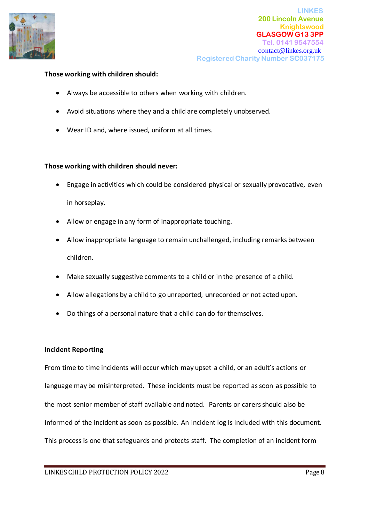

## **Those working with children should:**

- Always be accessible to others when working with children.
- Avoid situations where they and a child are completely unobserved.
- Wear ID and, where issued, uniform at all times.

#### **Those working with children should never:**

- Engage in activities which could be considered physical or sexually provocative, even in horseplay.
- Allow or engage in any form of inappropriate touching.
- Allow inappropriate language to remain unchallenged, including remarks between children.
- Make sexually suggestive comments to a child or in the presence of a child.
- Allow allegations by a child to go unreported, unrecorded or not acted upon.
- Do things of a personal nature that a child can do for themselves.

#### **Incident Reporting**

From time to time incidents will occur which may upset a child, or an adult's actions or language may be misinterpreted. These incidents must be reported as soon as possible to the most senior member of staff available and noted. Parents or carers should also be informed of the incident as soon as possible. An incident log is included with this document. This process is one that safeguards and protects staff. The completion of an incident form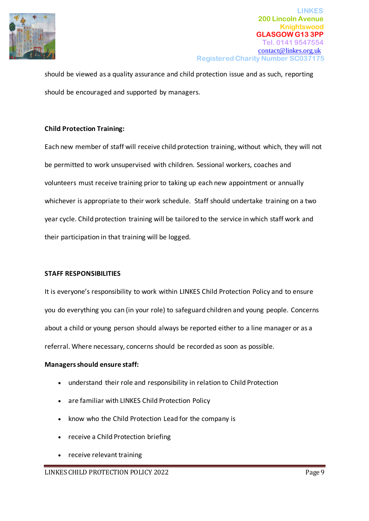

should be viewed as a quality assurance and child protection issue and as such, reporting should be encouraged and supported by managers.

## **Child Protection Training:**

Each new member of staff will receive child protection training, without which, they will not be permitted to work unsupervised with children. Sessional workers, coaches and volunteers must receive training prior to taking up each new appointment or annually whichever is appropriate to their work schedule. Staff should undertake training on a two year cycle. Child protection training will be tailored to the service in which staff work and their participation in that training will be logged.

## **STAFF RESPONSIBILITIES**

It is everyone's responsibility to work within LINKES Child Protection Policy and to ensure you do everything you can (in your role) to safeguard children and young people. Concerns about a child or young person should always be reported either to a line manager or as a referral. Where necessary, concerns should be recorded as soon as possible.

#### **Managers should ensure staff:**

- understand their role and responsibility in relation to Child Protection
- are familiar with LINKES Child Protection Policy
- know who the Child Protection Lead for the company is
- receive a Child Protection briefing
- receive relevant training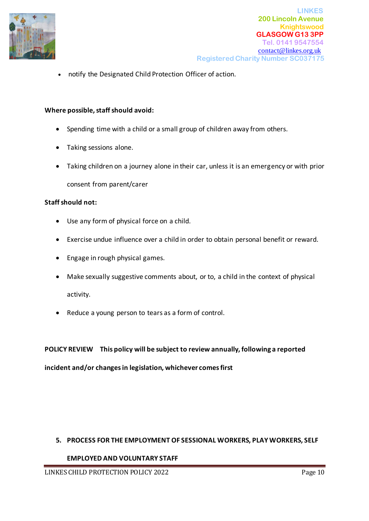

• notify the Designated Child Protection Officer of action.

#### **Where possible, staff should avoid:**

- Spending time with a child or a small group of children away from others.
- Taking sessions alone.
- Taking children on a journey alone in their car, unless it is an emergency or with prior consent from parent/carer

#### **Staff should not:**

- Use any form of physical force on a child.
- Exercise undue influence over a child in order to obtain personal benefit or reward.
- Engage in rough physical games.
- Make sexually suggestive comments about, or to, a child in the context of physical activity.
- Reduce a young person to tears as a form of control.

**POLICY REVIEW This policy will be subject to review annually, following a reported** 

**incident and/or changes in legislation, whichever comes first**

#### **5. PROCESS FOR THE EMPLOYMENT OF SESSIONAL WORKERS, PLAY WORKERS, SELF**

#### **EMPLOYED AND VOLUNTARY STAFF**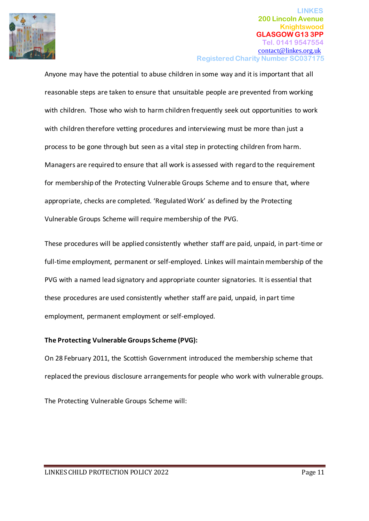

Anyone may have the potential to abuse children in some way and it is important that all reasonable steps are taken to ensure that unsuitable people are prevented from working with children. Those who wish to harm children frequently seek out opportunities to work with children therefore vetting procedures and interviewing must be more than just a process to be gone through but seen as a vital step in protecting children from harm. Managers are required to ensure that all work is assessed with regard to the requirement for membership of the Protecting Vulnerable Groups Scheme and to ensure that, where appropriate, checks are completed. 'Regulated Work' as defined by the Protecting Vulnerable Groups Scheme will require membership of the PVG.

These procedures will be applied consistently whether staff are paid, unpaid, in part-time or full-time employment, permanent or self-employed. Linkes will maintain membership of the PVG with a named lead signatory and appropriate counter signatories. It is essential that these procedures are used consistently whether staff are paid, unpaid, in part time employment, permanent employment or self-employed.

## **The Protecting Vulnerable Groups Scheme (PVG):**

On 28 February 2011, the Scottish Government introduced the membership scheme that replaced the previous disclosure arrangements for people who work with vulnerable groups.

The Protecting Vulnerable Groups Scheme will: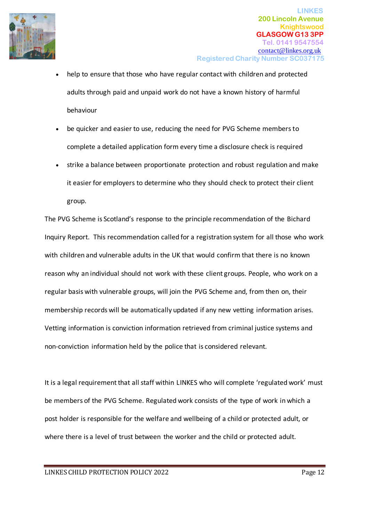

- help to ensure that those who have regular contact with children and protected adults through paid and unpaid work do not have a known history of harmful behaviour
- be quicker and easier to use, reducing the need for PVG Scheme members to complete a detailed application form every time a disclosure check is required
- strike a balance between proportionate protection and robust regulation and make it easier for employers to determine who they should check to protect their client group.

The PVG Scheme is Scotland's response to the principle recommendation of the Bichard Inquiry Report. This recommendation called for a registration system for all those who work with children and vulnerable adults in the UK that would confirm that there is no known reason why an individual should not work with these client groups. People, who work on a regular basis with vulnerable groups, will join the PVG Scheme and, from then on, their membership records will be automatically updated if any new vetting information arises. Vetting information is conviction information retrieved from criminal justice systems and non-conviction information held by the police that is considered relevant.

It is a legal requirement that all staff within LINKES who will complete 'regulated work' must be members of the PVG Scheme. Regulated work consists of the type of work in which a post holder is responsible for the welfare and wellbeing of a child or protected adult, or where there is a level of trust between the worker and the child or protected adult.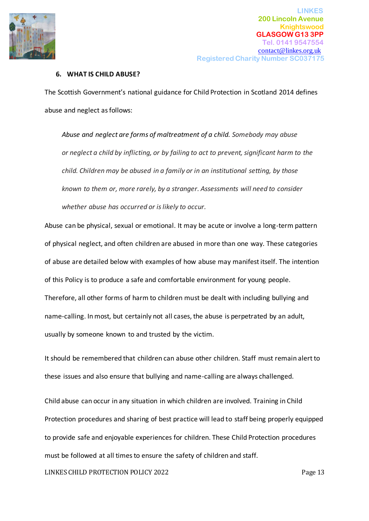

#### **6. WHAT IS CHILD ABUSE?**

The Scottish Government's national guidance for Child Protection in Scotland 2014 defines abuse and neglect as follows:

*Abuse and neglect are forms of maltreatment of a child. Somebody may abuse or neglect a child by inflicting, or by failing to act to prevent, significant harm to the child. Children may be abused in a family or in an institutional setting, by those known to them or, more rarely, by a stranger. Assessments will need to consider whether abuse has occurred or is likely to occur.*

Abuse can be [physical,](http://www.online-procedures.co.uk/westofscotland/contents/appendices/appendix-2-child-abuse/physical-abuse/) [sexual o](http://www.online-procedures.co.uk/westofscotland/contents/appendices/appendix-2-child-abuse/sexual-abuse/)r [emotional.](http://www.online-procedures.co.uk/westofscotland/contents/appendices/appendix-2-child-abuse/emotional-abuse/) It may be acute or involve a long-term pattern of physical [neglect,](http://www.online-procedures.co.uk/westofscotland/contents/appendices/appendix-2-child-abuse/neglect/) and often children are abused in more than one way. These categories of abuse are detailed below with examples of how abuse may manifest itself. The intention of this Policy is to produce a safe and comfortable environment for young people. Therefore, all other forms of harm to children must be dealt with including bullying and name-calling. In most, but certainly not all cases, the abuse is perpetrated by an adult, usually by someone known to and trusted by the victim.

It should be remembered that children can abuse other children. Staff must remain alert to these issues and also ensure that bullying and name-calling are always challenged.

Child abuse can occur in any situation in which children are involved. Training in Child Protection procedures and sharing of best practice will lead to staff being properly equipped to provide safe and enjoyable experiences for children. These Child Protection procedures must be followed at all times to ensure the safety of children and staff.

#### LINKES CHILD PROTECTION POLICY 2022 Page 13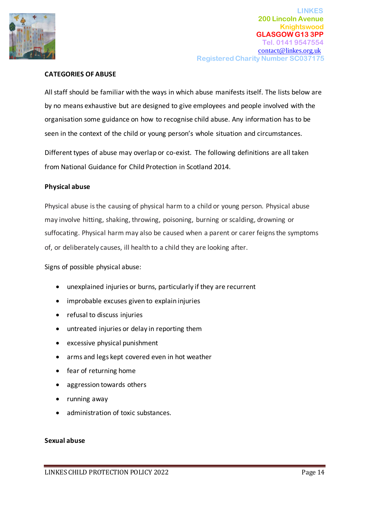

## **CATEGORIES OF ABUSE**

All staff should be familiar with the ways in which abuse manifests itself. The lists below are by no means exhaustive but are designed to give employees and people involved with the organisation some guidance on how to recognise child abuse. Any information has to be seen in the context of the child or young person's whole situation and circumstances.

Different types of abuse may overlap or co-exist. The following definitions are all taken from National Guidance for Child Protection in Scotland 2014.

#### **Physical abuse**

Physical abuse is the causing of physical harm to a child or young person. Physical abuse may involve hitting, shaking, throwing, poisoning, burning or scalding, drowning or suffocating. Physical harm may also be caused when a parent or carer feigns the symptoms of, or deliberately causes, ill health to a child they are looking after.

Signs of possible physical abuse:

- unexplained injuries or burns, particularly if they are recurrent
- improbable excuses given to explain injuries
- refusal to discuss injuries
- untreated injuries or delay in reporting them
- excessive physical punishment
- arms and legs kept covered even in hot weather
- fear of returning home
- aggression towards others
- running away
- administration of toxic substances.

#### **Sexual abuse**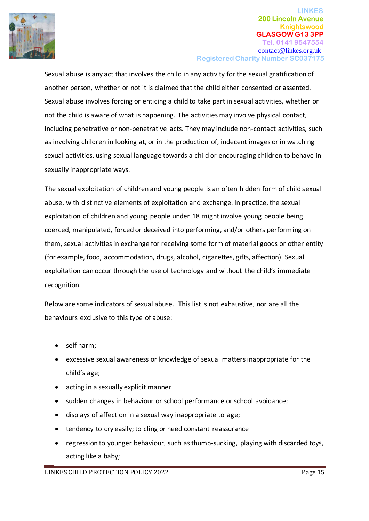

Sexual abuse is any act that involves the child in any activity for the sexual gratification of another person, whether or not it is claimed that the child either consented or assented. Sexual abuse involves forcing or enticing a child to take part in sexual activities, whether or not the child is aware of what is happening. The activities may involve physical contact, including penetrative or non-penetrative acts. They may include non-contact activities, such as involving children in looking at, or in the production of, indecent images or in watching sexual activities, using sexual language towards a child or encouraging children to behave in sexually inappropriate ways.

The sexual exploitation of children and young people is an often hidden form of child sexual abuse, with distinctive elements of exploitation and exchange. In practice, the sexual exploitation of children and young people under 18 might involve young people being coerced, manipulated, forced or deceived into performing, and/or others performing on them, sexual activities in exchange for receiving some form of material goods or other entity (for example, food, accommodation, drugs, alcohol, cigarettes, gifts, affection). Sexual exploitation can occur through the use of technology and without the child's immediate recognition.

Below are some indicators of sexual abuse. This list is not exhaustive, nor are all the behaviours exclusive to this type of abuse:

- self harm;
- excessive sexual awareness or knowledge of sexual matters inappropriate for the child's age;
- acting in a sexually explicit manner
- sudden changes in behaviour or school performance or school avoidance;
- displays of affection in a sexual way inappropriate to age;
- tendency to cry easily; to cling or need constant reassurance
- regression to younger behaviour, such as thumb-sucking, playing with discarded toys, acting like a baby;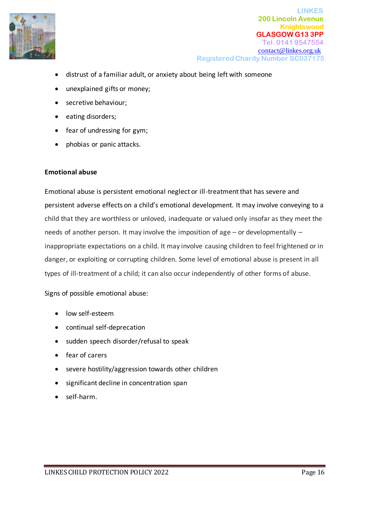

- distrust of a familiar adult, or anxiety about being left with someone
- unexplained gifts or money;
- secretive behaviour;
- eating disorders;
- fear of undressing for gym;
- phobias or panic attacks.

## **Emotional abuse**

Emotional abuse is persistent emotional neglect or ill-treatment that has severe and persistent adverse effects on a child's emotional development. It may involve conveying to a child that they are worthless or unloved, inadequate or valued only insofar as they meet the needs of another person. It may involve the imposition of age – or developmentally – inappropriate expectations on a child. It may involve causing children to feel frightened or in danger, or exploiting or corrupting children. Some level of emotional abuse is present in all types of ill-treatment of a child; it can also occur independently of other forms of abuse.

Signs of possible emotional abuse:

- low self-esteem
- continual self-deprecation
- sudden speech disorder/refusal to speak
- fear of carers
- severe hostility/aggression towards other children
- significant decline in concentration span
- self-harm.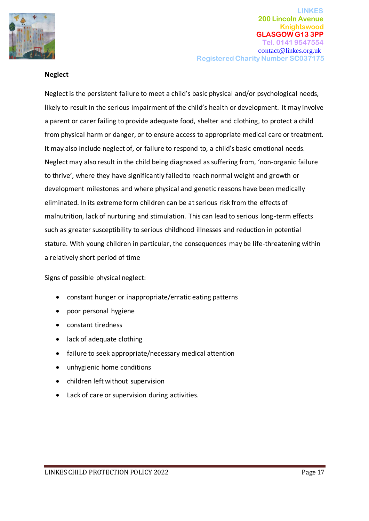

#### **Neglect**

Neglect is the persistent failure to meet a child's basic physical and/or psychological needs, likely to result in the serious impairment of the child's health or development. It may involve a parent or carer failing to provide adequate food, shelter and clothing, to protect a child from physical harm or danger, or to ensure access to appropriate medical care or treatment. It may also include neglect of, or failure to respond to, a child's basic emotional needs. Neglect may also result in the child being diagnosed as suffering from, 'non-organic failure to thrive', where they have significantly failed to reach normal weight and growth or development milestones and where physical and genetic reasons have been medically eliminated. In its extreme form children can be at serious risk from the effects of malnutrition, lack of nurturing and stimulation. This can lead to serious long-term effects such as greater susceptibility to serious childhood illnesses and reduction in potential stature. With young children in particular, the consequences may be life-threatening within a relatively short period of time

Signs of possible physical neglect:

- constant hunger or inappropriate/erratic eating patterns
- poor personal hygiene
- constant tiredness
- lack of adequate clothing
- failure to seek appropriate/necessary medical attention
- unhygienic home conditions
- children left without supervision
- Lack of care or supervision during activities.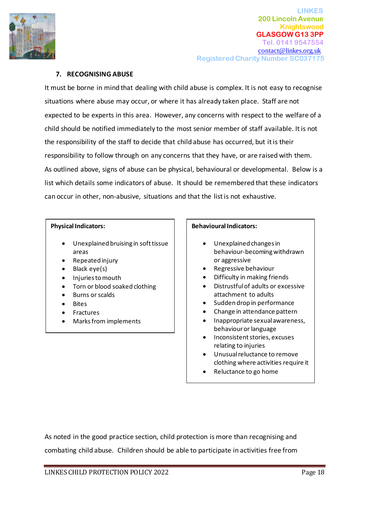

## **7. RECOGNISING ABUSE**

It must be borne in mind that dealing with child abuse is complex. It is not easy to recognise situations where abuse may occur, or where it has already taken place. Staff are not expected to be experts in this area. However, any concerns with respect to the welfare of a child should be notified immediately to the most senior member of staff available. It is not the responsibility of the staff to decide that child abuse has occurred, but it is their responsibility to follow through on any concerns that they have, or are raised with them. As outlined above, signs of abuse can be physical, behavioural or developmental. Below is a list which details some indicators of abuse. It should be remembered that these indicators can occur in other, non-abusive, situations and that the list is not exhaustive.

#### **Physical Indicators:**

- Unexplained bruising in soft tissue areas
- Repeated injury
- Black eye(s)
- Injuries to mouth
- Torn or blood soaked clothing
- Burns or scalds
- **Bites**
- **Fractures**
- Marks from implements

#### **Behavioural Indicators:**

- Unexplained changes in behaviour-becoming withdrawn or aggressive
- Regressive behaviour
- Difficulty in making friends
- Distrustful of adults or excessive attachment to adults
- Sudden drop in performance
- Change in attendance pattern
- Inappropriate sexual awareness, behaviour or language
- Inconsistent stories, excuses relating to injuries
- Unusual reluctance to remove clothing where activities require it
- Reluctance to go home

As noted in the good practice section, child protection is more than recognising and combating child abuse. Children should be able to participate in activities free from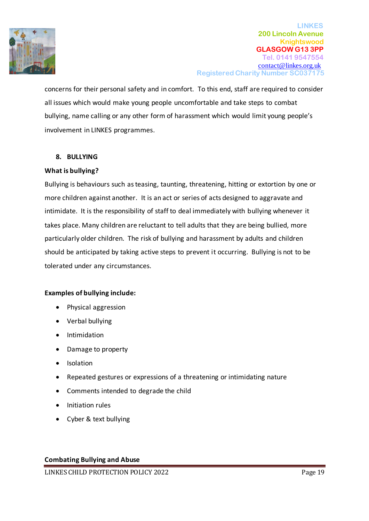

concerns for their personal safety and in comfort. To this end, staff are required to consider all issues which would make young people uncomfortable and take steps to combat bullying, name calling or any other form of harassment which would limit young people's involvement in LINKES programmes.

#### **8. BULLYING**

#### **What is bullying?**

Bullying is behaviours such as teasing, taunting, threatening, hitting or extortion by one or more children against another. It is an act or series of acts designed to aggravate and intimidate. It is the responsibility of staff to deal immediately with bullying whenever it takes place. Many children are reluctant to tell adults that they are being bullied, more particularly older children. The risk of bullying and harassment by adults and children should be anticipated by taking active steps to prevent it occurring. Bullying is not to be tolerated under any circumstances.

#### **Examples of bullying include:**

- Physical aggression
- Verbal bullying
- Intimidation
- Damage to property
- **Isolation**
- Repeated gestures or expressions of a threatening or intimidating nature
- Comments intended to degrade the child
- Initiation rules
- Cyber & text bullying

#### **Combating Bullying and Abuse**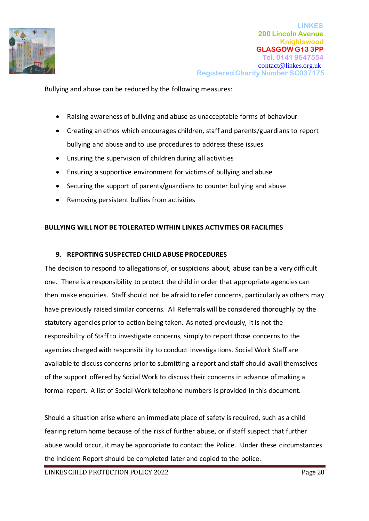

Bullying and abuse can be reduced by the following measures:

- Raising awareness of bullying and abuse as unacceptable forms of behaviour
- Creating an ethos which encourages children, staff and parents/guardians to report bullying and abuse and to use procedures to address these issues
- Ensuring the supervision of children during all activities
- Ensuring a supportive environment for victims of bullying and abuse
- Securing the support of parents/guardians to counter bullying and abuse
- Removing persistent bullies from activities

## **BULLYING WILL NOT BE TOLERATED WITHIN LINKES ACTIVITIES OR FACILITIES**

## **9. REPORTING SUSPECTED CHILD ABUSE PROCEDURES**

The decision to respond to allegations of, or suspicions about, abuse can be a very difficult one. There is a responsibility to protect the child in order that appropriate agencies can then make enquiries. Staff should not be afraid to refer concerns, particularly as others may have previously raised similar concerns. All Referrals will be considered thoroughly by the statutory agencies prior to action being taken. As noted previously, it is not the responsibility of Staff to investigate concerns, simply to report those concerns to the agencies charged with responsibility to conduct investigations. Social Work Staff are available to discuss concerns prior to submitting a report and staff should avail themselves of the support offered by Social Work to discuss their concerns in advance of making a formal report. A list of Social Work telephone numbers is provided in this document.

Should a situation arise where an immediate place of safety is required, such as a child fearing return home because of the risk of further abuse, or if staff suspect that further abuse would occur, it may be appropriate to contact the Police. Under these circumstances the Incident Report should be completed later and copied to the police.

LINKES CHILD PROTECTION POLICY 2022 Page 20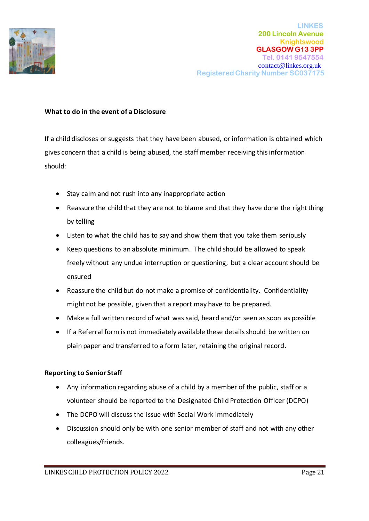

## **What to do in the event of a Disclosure**

If a child discloses or suggests that they have been abused, or information is obtained which gives concern that a child is being abused, the staff member receiving this information should:

- Stay calm and not rush into any inappropriate action
- Reassure the child that they are not to blame and that they have done the right thing by telling
- Listen to what the child has to say and show them that you take them seriously
- Keep questions to an absolute minimum. The child should be allowed to speak freely without any undue interruption or questioning, but a clear account should be ensured
- Reassure the child but do not make a promise of confidentiality. Confidentiality might not be possible, given that a report may have to be prepared.
- Make a full written record of what was said, heard and/or seen as soon as possible
- If a Referral form is not immediately available these details should be written on plain paper and transferred to a form later, retaining the original record.

## **Reporting to Senior Staff**

- Any information regarding abuse of a child by a member of the public, staff or a volunteer should be reported to the Designated Child Protection Officer (DCPO)
- The DCPO will discuss the issue with Social Work immediately
- Discussion should only be with one senior member of staff and not with any other colleagues/friends.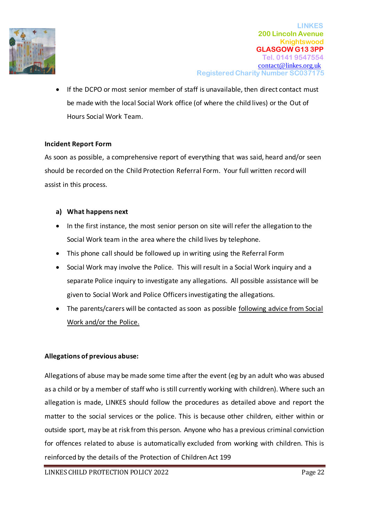

If the DCPO or most senior member of staff is unavailable, then direct contact must be made with the local Social Work office (of where the child lives) or the Out of Hours Social Work Team.

## **Incident Report Form**

As soon as possible, a comprehensive report of everything that was said, heard and/or seen should be recorded on the Child Protection Referral Form. Your full written record will assist in this process.

## **a) What happens next**

- In the first instance, the most senior person on site will refer the allegation to the Social Work team in the area where the child lives by telephone.
- This phone call should be followed up in writing using the Referral Form
- Social Work may involve the Police. This will result in a Social Work inquiry and a separate Police inquiry to investigate any allegations. All possible assistance will be given to Social Work and Police Officers investigating the allegations.
- The parents/carers will be contacted as soon as possible following advice from Social Work and/or the Police.

## **Allegations of previous abuse:**

Allegations of abuse may be made some time after the event (eg by an adult who was abused as a child or by a member of staff who is still currently working with children). Where such an allegation is made, LINKES should follow the procedures as detailed above and report the matter to the social services or the police. This is because other children, either within or outside sport, may be at risk from this person. Anyone who has a previous criminal conviction for offences related to abuse is automatically excluded from working with children. This is reinforced by the details of the Protection of Children Act 199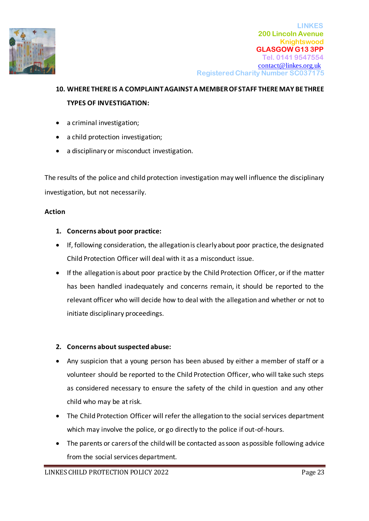

## **10. WHERE THERE IS A COMPLAINT AGAINST A MEMBER OF STAFF THERE MAY BE THREE TYPES OF INVESTIGATION:**

- a criminal investigation;
- a child protection investigation;
- a disciplinary or misconduct investigation.

The results of the police and child protection investigation may well influence the disciplinary investigation, but not necessarily.

## **Action**

## **1. Concerns about poor practice:**

- If, following consideration, the allegation is clearly about poor practice, the designated Child Protection Officer will deal with it as a misconduct issue.
- If the allegation is about poor practice by the Child Protection Officer, or if the matter has been handled inadequately and concerns remain, it should be reported to the relevant officer who will decide how to deal with the allegation and whether or not to initiate disciplinary proceedings.

## **2. Concerns about suspected abuse:**

- Any suspicion that a young person has been abused by either a member of staff or a volunteer should be reported to the Child Protection Officer, who will take such steps as considered necessary to ensure the safety of the child in question and any other child who may be at risk.
- The Child Protection Officer will refer the allegation to the social services department which may involve the police, or go directly to the police if out-of-hours.
- The parents or carers of the child will be contacted as soon as possible following advice from the social services department.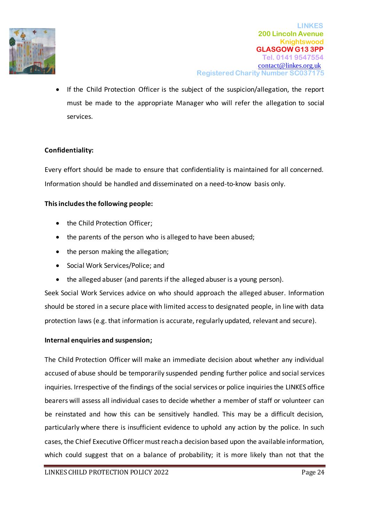

If the Child Protection Officer is the subject of the suspicion/allegation, the report must be made to the appropriate Manager who will refer the allegation to social services.

## **Confidentiality:**

Every effort should be made to ensure that confidentiality is maintained for all concerned. Information should be handled and disseminated on a need-to-know basis only.

## **This includes the following people:**

- the Child Protection Officer;
- the parents of the person who is alleged to have been abused;
- the person making the allegation;
- Social Work Services/Police; and
- the alleged abuser (and parents if the alleged abuser is a young person).

Seek Social Work Services advice on who should approach the alleged abuser. Information should be stored in a secure place with limited access to designated people, in line with data protection laws (e.g. that information is accurate, regularly updated, relevant and secure).

#### **Internal enquiries and suspension;**

The Child Protection Officer will make an immediate decision about whether any individual accused of abuse should be temporarily suspended pending further police and social services inquiries. Irrespective of the findings of the social services or police inquiries the LINKES office bearers will assess all individual cases to decide whether a member of staff or volunteer can be reinstated and how this can be sensitively handled. This may be a difficult decision, particularly where there is insufficient evidence to uphold any action by the police. In such cases, the Chief Executive Officer must reach a decision based upon the available information, which could suggest that on a balance of probability; it is more likely than not that the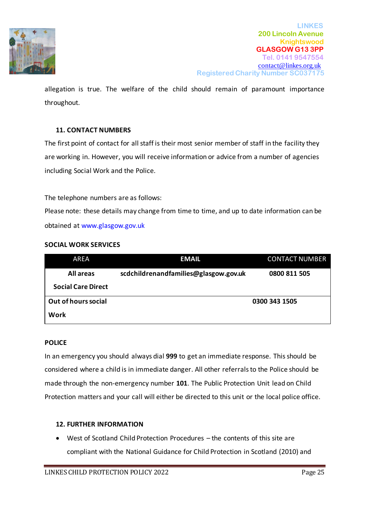

allegation is true. The welfare of the child should remain of paramount importance throughout.

## **11. CONTACT NUMBERS**

The first point of contact for all staff is their most senior member of staff in the facility they are working in. However, you will receive information or advice from a number of agencies including Social Work and the Police.

The telephone numbers are as follows:

Please note: these details may change from time to time, and up to date information can be obtained at [www.glasgow.gov.uk](http://www.glasgow.gov.uk/)

## **SOCIAL WORK SERVICES**

| <b>AREA</b>               | <b>EMAIL</b>                          | <b>CONTACT NUMBER</b> |
|---------------------------|---------------------------------------|-----------------------|
| <b>All areas</b>          | scdchildrenandfamilies@glasgow.gov.uk | 0800 811 505          |
| <b>Social Care Direct</b> |                                       |                       |
| Out of hours social       |                                       | 0300 343 1505         |
| Work                      |                                       |                       |

## **POLICE**

In an emergency you should always dial **999** to get an immediate response. This should be considered where a child is in immediate danger. All other referrals to the Police should be made through the non-emergency number **101**. The Public Protection Unit lead on Child Protection matters and your call will either be directed to this unit or the local police office.

## **12. FURTHER INFORMATION**

• West of Scotland Child Protection Procedures – the contents of this site are compliant with the National Guidance for Child Protection in Scotland (2010) and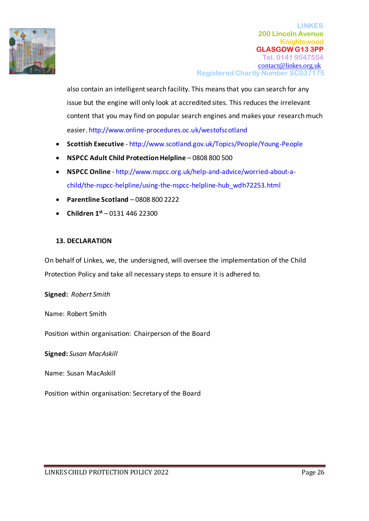

also contain an intelligent search facility. This means that you can search for any issue but the engine will only look at accredited sites. This reduces the irrelevant content that you may find on popular search engines and makes your research much easier[. http://www.online-procedures.oc.uk/westofscotland](http://www.online-procedures.oc.uk/westofscotland)

- **Scottish Executive** <http://www.scotland.gov.uk/Topics/People/Young-People>
- **NSPCC Adult Child Protection Helpline** 0808 800 500
- **NSPCC Online** [http://www.nspcc.org.uk/help-and-advice/worried-about-a](http://www.nspcc.org.uk/help-and-advice/worried-about-a-child/the-nspcc-helpline/using-the-nspcc-helpline-hub_wdh72253.html)[child/the-nspcc-helpline/using-the-nspcc-helpline-hub\\_wdh72253.html](http://www.nspcc.org.uk/help-and-advice/worried-about-a-child/the-nspcc-helpline/using-the-nspcc-helpline-hub_wdh72253.html)
- **Parentline Scotland** 0808 800 2222
- **Children 1st** 0131 446 22300

## **13. DECLARATION**

On behalf of Linkes, we, the undersigned, will oversee the implementation of the Child Protection Policy and take all necessary steps to ensure it is adhered to.

**Signed:** *Robert Smith*

Name: Robert Smith

Position within organisation: Chairperson of the Board

**Signed:** *Susan MacAskill*

Name: Susan MacAskill

Position within organisation: Secretary of the Board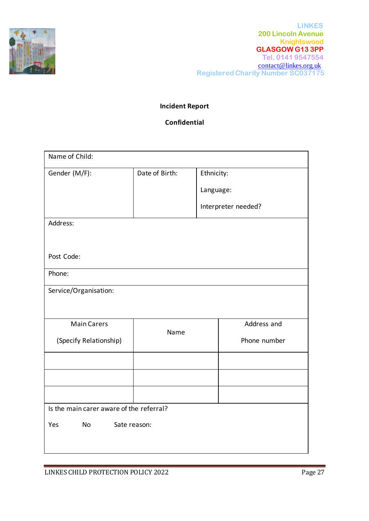

## **Incident Report**

## **Confidential**

| Name of Child:                           |                |                     |  |  |  |
|------------------------------------------|----------------|---------------------|--|--|--|
| Gender (M/F):                            | Date of Birth: | Ethnicity:          |  |  |  |
|                                          |                | Language:           |  |  |  |
|                                          |                | Interpreter needed? |  |  |  |
| Address:                                 |                |                     |  |  |  |
|                                          |                |                     |  |  |  |
| Post Code:                               |                |                     |  |  |  |
| Phone:                                   |                |                     |  |  |  |
| Service/Organisation:                    |                |                     |  |  |  |
|                                          |                |                     |  |  |  |
| <b>Main Carers</b>                       | Name           | Address and         |  |  |  |
| (Specify Relationship)                   |                | Phone number        |  |  |  |
|                                          |                |                     |  |  |  |
|                                          |                |                     |  |  |  |
|                                          |                |                     |  |  |  |
| Is the main carer aware of the referral? |                |                     |  |  |  |
| <b>No</b><br>Yes<br>Sate reason:         |                |                     |  |  |  |
|                                          |                |                     |  |  |  |